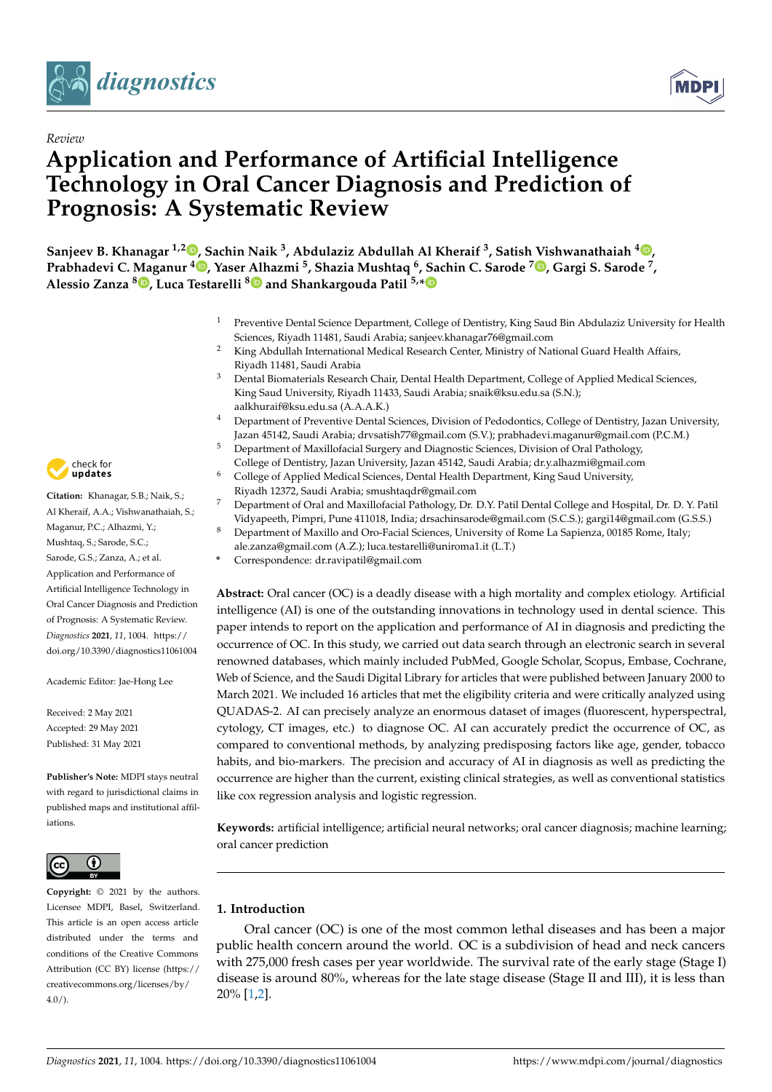



# **Application and Performance of Artificial Intelligence Technology in Oral Cancer Diagnosis and Prediction of Prognosis: A Systematic Review**

**Sanjeev B. Khanagar 1,2 [,](https://orcid.org/0000-0002-4098-7773) Sachin Naik <sup>3</sup> , Abdulaziz Abdullah Al Kheraif <sup>3</sup> , Satish Vishwanathaiah <sup>4</sup> [,](https://orcid.org/0000-0002-8376-297X) Prabhadevi C. [Ma](https://orcid.org/0000-0002-2062-8140)ganur <sup>4</sup> [,](https://orcid.org/0000-0002-0959-2597) Yaser [Alh](https://orcid.org/0000-0003-3904-3000)azmi <sup>5</sup> , Shazia Mushtaq <sup>6</sup> , Sachin C. Sarode [7](https://orcid.org/0000-0003-1856-0957) , Gargi S. Sarode <sup>7</sup> , Alessio Zanza <sup>8</sup> , Luca Testarelli <sup>8</sup> and Shankargouda Patil 5,[\\*](https://orcid.org/0000-0001-7246-5497)**

- <sup>1</sup> Preventive Dental Science Department, College of Dentistry, King Saud Bin Abdulaziz University for Health Sciences, Riyadh 11481, Saudi Arabia; sanjeev.khanagar76@gmail.com
- <sup>2</sup> King Abdullah International Medical Research Center, Ministry of National Guard Health Affairs, Riyadh 11481, Saudi Arabia
- <sup>3</sup> Dental Biomaterials Research Chair, Dental Health Department, College of Applied Medical Sciences, King Saud University, Riyadh 11433, Saudi Arabia; snaik@ksu.edu.sa (S.N.); aalkhuraif@ksu.edu.sa (A.A.A.K.)
- <sup>4</sup> Department of Preventive Dental Sciences, Division of Pedodontics, College of Dentistry, Jazan University, Jazan 45142, Saudi Arabia; drvsatish77@gmail.com (S.V.); prabhadevi.maganur@gmail.com (P.C.M.)
- <sup>5</sup> Department of Maxillofacial Surgery and Diagnostic Sciences, Division of Oral Pathology, College of Dentistry, Jazan University, Jazan 45142, Saudi Arabia; dr.y.alhazmi@gmail.com
- <sup>6</sup> College of Applied Medical Sciences, Dental Health Department, King Saud University, Riyadh 12372, Saudi Arabia; smushtaqdr@gmail.com
- <sup>7</sup> Department of Oral and Maxillofacial Pathology, Dr. D.Y. Patil Dental College and Hospital, Dr. D. Y. Patil Vidyapeeth, Pimpri, Pune 411018, India; drsachinsarode@gmail.com (S.C.S.); gargi14@gmail.com (G.S.S.)
- <sup>8</sup> Department of Maxillo and Oro-Facial Sciences, University of Rome La Sapienza, 00185 Rome, Italy;
- ale.zanza@gmail.com (A.Z.); luca.testarelli@uniroma1.it (L.T.)
- **\*** Correspondence: dr.ravipatil@gmail.com

**Abstract:** Oral cancer (OC) is a deadly disease with a high mortality and complex etiology. Artificial intelligence (AI) is one of the outstanding innovations in technology used in dental science. This paper intends to report on the application and performance of AI in diagnosis and predicting the occurrence of OC. In this study, we carried out data search through an electronic search in several renowned databases, which mainly included PubMed, Google Scholar, Scopus, Embase, Cochrane, Web of Science, and the Saudi Digital Library for articles that were published between January 2000 to March 2021. We included 16 articles that met the eligibility criteria and were critically analyzed using QUADAS-2. AI can precisely analyze an enormous dataset of images (fluorescent, hyperspectral, cytology, CT images, etc.) to diagnose OC. AI can accurately predict the occurrence of OC, as compared to conventional methods, by analyzing predisposing factors like age, gender, tobacco habits, and bio-markers. The precision and accuracy of AI in diagnosis as well as predicting the occurrence are higher than the current, existing clinical strategies, as well as conventional statistics like cox regression analysis and logistic regression.

**Keywords:** artificial intelligence; artificial neural networks; oral cancer diagnosis; machine learning; oral cancer prediction

## **1. Introduction**

Oral cancer (OC) is one of the most common lethal diseases and has been a major public health concern around the world. OC is a subdivision of head and neck cancers with 275,000 fresh cases per year worldwide. The survival rate of the early stage (Stage I) disease is around 80%, whereas for the late stage disease (Stage II and III), it is less than 20% [\[1](#page-9-0)[,2\]](#page-9-1).



**Citation:** Khanagar, S.B.; Naik, S.; Al Kheraif, A.A.; Vishwanathaiah, S.; Maganur, P.C.; Alhazmi, Y.; Mushtaq, S.; Sarode, S.C.; Sarode, G.S.; Zanza, A.; et al. Application and Performance of Artificial Intelligence Technology in Oral Cancer Diagnosis and Prediction of Prognosis: A Systematic Review. *Diagnostics* **2021**, *11*, 1004. [https://](https://doi.org/10.3390/diagnostics11061004) [doi.org/10.3390/diagnostics11061004](https://doi.org/10.3390/diagnostics11061004)

Academic Editor: Jae-Hong Lee

Received: 2 May 2021 Accepted: 29 May 2021 Published: 31 May 2021

**Publisher's Note:** MDPI stays neutral with regard to jurisdictional claims in published maps and institutional affiliations.



**Copyright:** © 2021 by the authors. Licensee MDPI, Basel, Switzerland. This article is an open access article distributed under the terms and conditions of the Creative Commons Attribution (CC BY) license (https:/[/](https://creativecommons.org/licenses/by/4.0/) [creativecommons.org/licenses/by/](https://creativecommons.org/licenses/by/4.0/)  $4.0/$ ).

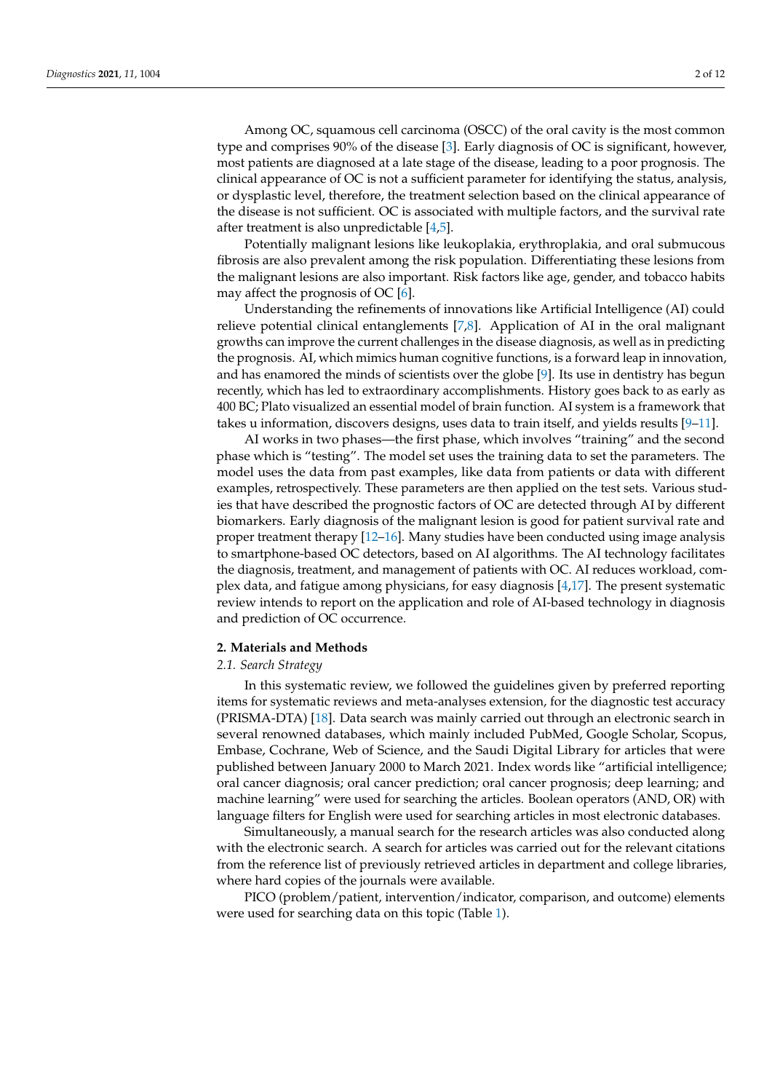Among OC, squamous cell carcinoma (OSCC) of the oral cavity is the most common type and comprises 90% of the disease [\[3\]](#page-9-2). Early diagnosis of OC is significant, however, most patients are diagnosed at a late stage of the disease, leading to a poor prognosis. The clinical appearance of OC is not a sufficient parameter for identifying the status, analysis, or dysplastic level, therefore, the treatment selection based on the clinical appearance of the disease is not sufficient. OC is associated with multiple factors, and the survival rate after treatment is also unpredictable [\[4,](#page-9-3)[5\]](#page-9-4).

Potentially malignant lesions like leukoplakia, erythroplakia, and oral submucous fibrosis are also prevalent among the risk population. Differentiating these lesions from the malignant lesions are also important. Risk factors like age, gender, and tobacco habits may affect the prognosis of OC  $[6]$ .

Understanding the refinements of innovations like Artificial Intelligence (AI) could relieve potential clinical entanglements [\[7](#page-9-6)[,8\]](#page-9-7). Application of AI in the oral malignant growths can improve the current challenges in the disease diagnosis, as well as in predicting the prognosis. AI, which mimics human cognitive functions, is a forward leap in innovation, and has enamored the minds of scientists over the globe [\[9\]](#page-9-8). Its use in dentistry has begun recently, which has led to extraordinary accomplishments. History goes back to as early as 400 BC; Plato visualized an essential model of brain function. AI system is a framework that takes u information, discovers designs, uses data to train itself, and yields results [\[9–](#page-9-8)[11\]](#page-10-0).

AI works in two phases—the first phase, which involves "training" and the second phase which is "testing". The model set uses the training data to set the parameters. The model uses the data from past examples, like data from patients or data with different examples, retrospectively. These parameters are then applied on the test sets. Various studies that have described the prognostic factors of OC are detected through AI by different biomarkers. Early diagnosis of the malignant lesion is good for patient survival rate and proper treatment therapy [\[12–](#page-10-1)[16\]](#page-10-2). Many studies have been conducted using image analysis to smartphone-based OC detectors, based on AI algorithms. The AI technology facilitates the diagnosis, treatment, and management of patients with OC. AI reduces workload, complex data, and fatigue among physicians, for easy diagnosis [\[4,](#page-9-3)[17\]](#page-10-3). The present systematic review intends to report on the application and role of AI-based technology in diagnosis and prediction of OC occurrence.

#### **2. Materials and Methods**

## *2.1. Search Strategy*

In this systematic review, we followed the guidelines given by preferred reporting items for systematic reviews and meta-analyses extension, for the diagnostic test accuracy (PRISMA-DTA) [\[18\]](#page-10-4). Data search was mainly carried out through an electronic search in several renowned databases, which mainly included PubMed, Google Scholar, Scopus, Embase, Cochrane, Web of Science, and the Saudi Digital Library for articles that were published between January 2000 to March 2021. Index words like "artificial intelligence; oral cancer diagnosis; oral cancer prediction; oral cancer prognosis; deep learning; and machine learning" were used for searching the articles. Boolean operators (AND, OR) with language filters for English were used for searching articles in most electronic databases.

Simultaneously, a manual search for the research articles was also conducted along with the electronic search. A search for articles was carried out for the relevant citations from the reference list of previously retrieved articles in department and college libraries, where hard copies of the journals were available.

PICO (problem/patient, intervention/indicator, comparison, and outcome) elements were used for searching data on this topic (Table [1\)](#page-2-0).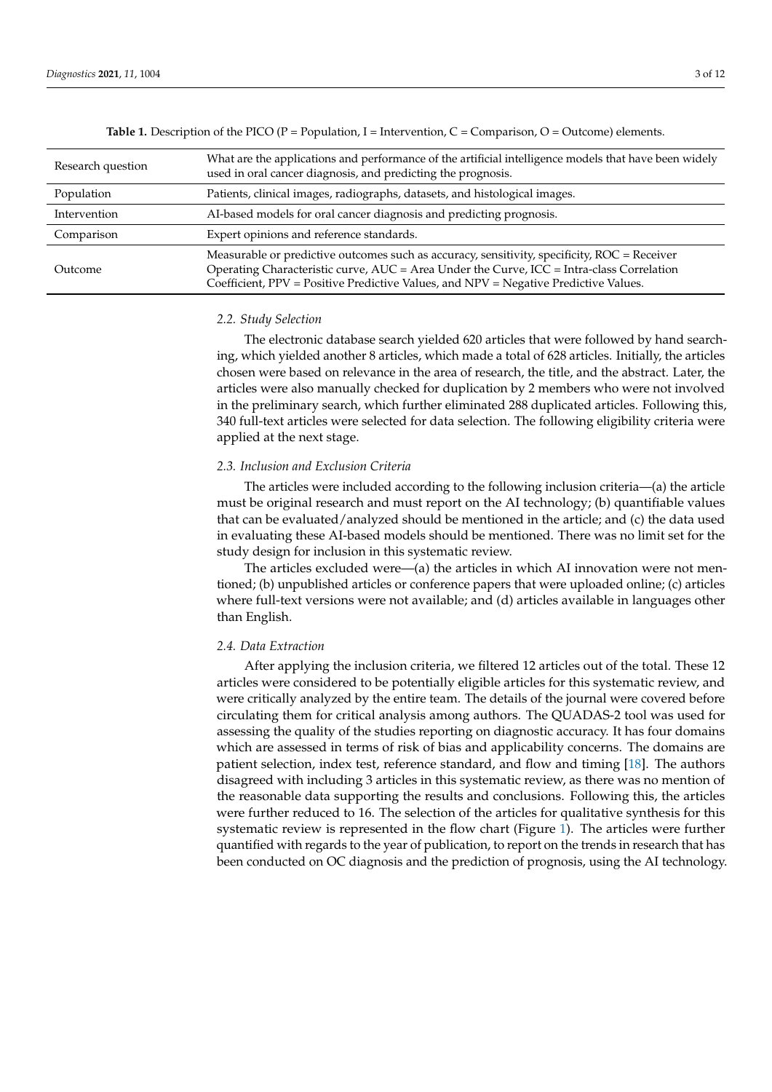Outcome

<span id="page-2-0"></span>

| <b>Table 1.</b> Description of the PICO (P = Population, I = Intervention, C = Comparison, O = Outcome) elements. |                                                                                                                                                                       |  |  |  |  |  |  |  |  |
|-------------------------------------------------------------------------------------------------------------------|-----------------------------------------------------------------------------------------------------------------------------------------------------------------------|--|--|--|--|--|--|--|--|
| Research question                                                                                                 | What are the applications and performance of the artificial intelligence models that have been widely<br>used in oral cancer diagnosis, and predicting the prognosis. |  |  |  |  |  |  |  |  |
| Population                                                                                                        | Patients, clinical images, radiographs, datasets, and histological images.                                                                                            |  |  |  |  |  |  |  |  |

Measurable or predictive outcomes such as accuracy, sensitivity, specificity, ROC = Receiver Operating Characteristic curve, AUC = Area Under the Curve, ICC = Intra-class Correlation Coefficient, PPV = Positive Predictive Values, and NPV = Negative Predictive Values.

## *2.2. Study Selection*

Comparison Expert opinions and reference standards.

The electronic database search yielded 620 articles that were followed by hand searching, which yielded another 8 articles, which made a total of 628 articles. Initially, the articles chosen were based on relevance in the area of research, the title, and the abstract. Later, the articles were also manually checked for duplication by 2 members who were not involved in the preliminary search, which further eliminated 288 duplicated articles. Following this, 340 full-text articles were selected for data selection. The following eligibility criteria were applied at the next stage.

#### *2.3. Inclusion and Exclusion Criteria*

Intervention AI-based models for oral cancer diagnosis and predicting prognosis.

The articles were included according to the following inclusion criteria—(a) the article must be original research and must report on the AI technology; (b) quantifiable values that can be evaluated/analyzed should be mentioned in the article; and (c) the data used in evaluating these AI-based models should be mentioned. There was no limit set for the study design for inclusion in this systematic review.

The articles excluded were—(a) the articles in which AI innovation were not mentioned; (b) unpublished articles or conference papers that were uploaded online; (c) articles where full-text versions were not available; and (d) articles available in languages other than English.

## *2.4. Data Extraction*

After applying the inclusion criteria, we filtered 12 articles out of the total. These 12 articles were considered to be potentially eligible articles for this systematic review, and were critically analyzed by the entire team. The details of the journal were covered before circulating them for critical analysis among authors. The QUADAS-2 tool was used for assessing the quality of the studies reporting on diagnostic accuracy. It has four domains which are assessed in terms of risk of bias and applicability concerns. The domains are patient selection, index test, reference standard, and flow and timing [\[18\]](#page-10-4). The authors disagreed with including 3 articles in this systematic review, as there was no mention of the reasonable data supporting the results and conclusions. Following this, the articles were further reduced to 16. The selection of the articles for qualitative synthesis for this systematic review is represented in the flow chart (Figure [1\)](#page-3-0). The articles were further quantified with regards to the year of publication, to report on the trends in research that has been conducted on OC diagnosis and the prediction of prognosis, using the AI technology.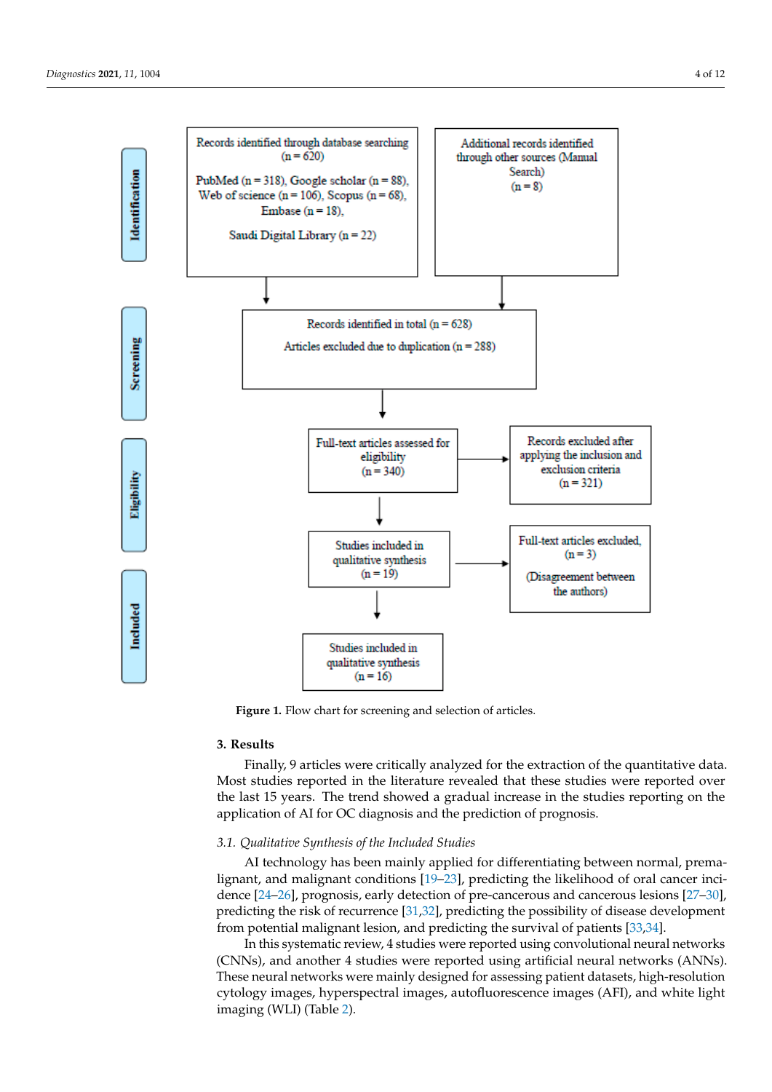<span id="page-3-0"></span>

**Figure 1.** Flow chart for screening and selection of articles. **Figure 1.** Flow chart for screening and selection of articles.

## **3. Results 3. Results**

Finally, 9 articles were critically analyzed for the extraction of the quantitative data. Finally, 9 articles were critically analyzed for the extraction of the quantitative data. Most studies reported in the literature revealed that these studies were reported over the last 15 years. The trend showed a gradual increase in the studies reporting on the application of AI for OC diagnosis and the prediction of prognosis.

## *3.1. Qualitative Synthesis of the Included Studies 3.1. Qualitative Synthesis of the Included Studies*

AI technology has been mainly applied for differentiating between normal, premalignant, and malignant conditions  $[19–23]$  $[19–23]$ , predicting the likelihood of oral cancer inci-[24–26], prognosis, early detection of pre-cancerous and cancerous lesions [27–30], pre-dence [\[24](#page-10-7)[–26\]](#page-10-8), prognosis, early detection of pre-cancerous and cancerous lesions [\[27–](#page-10-9)[30\]](#page-10-10), predicting the risk of recurrence [\[31,](#page-10-11)[32\]](#page-10-12), predicting the possibility of disease development from potential malignant lesion, and predicting the survival of patients [33,34]. from potential malignant lesion, and predicting the survival of patients [\[33,](#page-10-13)[34\]](#page-10-14).

In this systematic review, 4 studies were reported using convolutional neural networks works (CNNs), and another 4 studies were reported using artificial neural networks (CNNs), and another 4 studies were reported using artificial neural networks (ANNs). These neural networks were mainly designed for assessing patient datasets, high-resolution These cytology images, hyperspectral images, autofluorescence images (AFI), and white light in  $\mathcal{L}(\mathbb{R}^d)$ imaging (WLI) (Table [2\)](#page-5-0).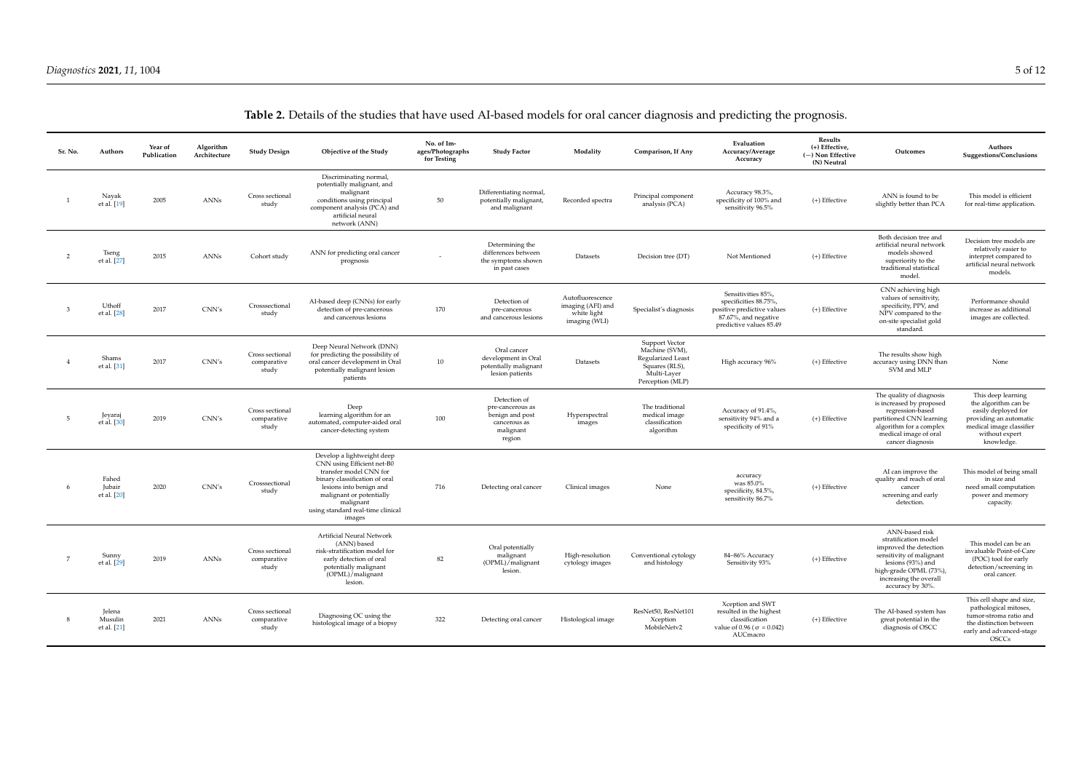| Sr. No.        | Authors                          | Year of<br>Publication | Algorithm<br>Architecture | <b>Study Design</b>                     | Objective of the Study                                                                                                                                                                                                                 | No. of Im-<br>ages/Photographs<br>for Testing | <b>Study Factor</b>                                                                        | Modality                                                              | Comparison, If Any                                                                                                       | Evaluation<br>Accuracy/Average<br>Accuracy                                                                                   | Results<br>(+) Effective,<br>(-) Non Effective<br>(N) Neutral | Outcomes                                                                                                                                                                                  | Authors<br>Suggestions/Conclusions                                                                                                                      |
|----------------|----------------------------------|------------------------|---------------------------|-----------------------------------------|----------------------------------------------------------------------------------------------------------------------------------------------------------------------------------------------------------------------------------------|-----------------------------------------------|--------------------------------------------------------------------------------------------|-----------------------------------------------------------------------|--------------------------------------------------------------------------------------------------------------------------|------------------------------------------------------------------------------------------------------------------------------|---------------------------------------------------------------|-------------------------------------------------------------------------------------------------------------------------------------------------------------------------------------------|---------------------------------------------------------------------------------------------------------------------------------------------------------|
|                | Navak<br>et al. [19]             | 2005                   | ANNs                      | Cross sectional<br>study                | Discriminating normal,<br>potentially malignant, and<br>malignant<br>conditions using principal<br>component analysis (PCA) and<br>artificial neural<br>network (ANN)                                                                  | 50                                            | Differentiating normal,<br>potentially malignant,<br>and malignant                         | Recorded spectra                                                      | Principal component<br>analysis (PCA)                                                                                    | Accuracy 98.3%,<br>specificity of 100% and<br>sensitivity 96.5%                                                              | (+) Effective                                                 | ANN is found to be<br>slightly better than PCA                                                                                                                                            | This model is efficient<br>for real-time application.                                                                                                   |
| $\overline{2}$ | Tseng<br>et al. [27]             | 2015                   | ANNs                      | Cohort study                            | ANN for predicting oral cancer<br>prognosis                                                                                                                                                                                            |                                               | Determining the<br>differences between<br>the symptoms shown<br>in past cases              | Datasets                                                              | Decision tree (DT)                                                                                                       | Not Mentioned                                                                                                                | (+) Effective                                                 | Both decision tree and<br>artificial neural network<br>models showed<br>superiority to the<br>traditional statistical<br>model.                                                           | Decision tree models are<br>relatively easier to<br>interpret compared to<br>artificial neural network<br>models.                                       |
| 3              | Uthoff<br>et al. [28]            | 2017                   | CNN's                     | Crosssectional<br>study                 | AI-based deep (CNNs) for early<br>detection of pre-cancerous<br>and cancerous lesions                                                                                                                                                  | 170                                           | Detection of<br>pre-cancerous<br>and cancerous lesions                                     | Autofluorescence<br>imaging (AFI) and<br>white light<br>imaging (WLI) | Specialist's diagnosis                                                                                                   | Sensitivities 85%,<br>specificities 88.75%,<br>positive predictive values<br>87.67%, and negative<br>predictive values 85.49 | (+) Effective                                                 | CNN achieving high<br>values of sensitivity,<br>specificity, PPV, and<br>NPV compared to the<br>on-site specialist gold<br>standard.                                                      | Performance should<br>increase as additional<br>images are collected.                                                                                   |
|                | Shams<br>et al. [31]             | 2017                   | CNN's                     | Cross sectional<br>comparative<br>study | Deep Neural Network (DNN)<br>for predicting the possibility of<br>oral cancer development in Oral<br>potentially malignant lesion<br>patients                                                                                          | 10                                            | Oral cancer<br>development in Oral<br>potentially malignant<br>lesion patients             | Datasets                                                              | <b>Support Vector</b><br>Machine (SVM),<br><b>Regularized Least</b><br>Squares (RLS),<br>Multi-Layer<br>Perception (MLP) | High accuracy 96%                                                                                                            | (+) Effective                                                 | The results show high<br>accuracy using DNN than<br>SVM and MLP                                                                                                                           | None                                                                                                                                                    |
| 5              | Jeyaraj<br>et al. [30]           | 2019                   | CNN's                     | Cross sectional<br>comparative<br>study | Deep<br>learning algorithm for an<br>automated, computer-aided oral<br>cancer-detecting system                                                                                                                                         | 100                                           | Detection of<br>pre-cancerous as<br>benign and post<br>cancerous as<br>malignant<br>region | Hyperspectral<br>images                                               | The traditional<br>medical image<br>classification<br>algorithm                                                          | Accuracy of 91.4%,<br>sensitivity 94% and a<br>specificity of 91%                                                            | (+) Effective                                                 | The quality of diagnosis<br>is increased by proposed<br>regression-based<br>partitioned CNN learning<br>algorithm for a complex<br>medical image of oral<br>cancer diagnosis              | This deep learning<br>the algorithm can be<br>easily deployed for<br>providing an automatic<br>medical image classifier<br>without expert<br>knowledge. |
|                | Fahed<br>Jubair<br>et al. [20]   | 2020                   | CNN's                     | Crosssectional<br>study                 | Develop a lightweight deep<br>CNN using Efficient net-B0<br>transfer model CNN for<br>binary classification of oral<br>lesions into benign and<br>malignant or potentially<br>malignant<br>using standard real-time clinical<br>images | 716                                           | Detecting oral cancer                                                                      | Clinical images                                                       | None                                                                                                                     | accuracy<br>was 85.0%<br>specificity, 84.5%,<br>sensitivity 86.7%                                                            | (+) Effective                                                 | AI can improve the<br>quality and reach of oral<br>cancer<br>screening and early<br>detection.                                                                                            | This model of being small<br>in size and<br>need small computation<br>power and memory<br>capacity.                                                     |
| 7              | Sunny<br>et al. [29]             | 2019                   | ANNs                      | Cross sectional<br>comparative<br>study | Artificial Neural Network<br>(ANN) based<br>risk-stratification model for<br>early detection of oral<br>potentially malignant<br>(OPML)/malignant<br>lesion.                                                                           | 82                                            | Oral potentially<br>malignant<br>(OPML)/malignant<br>lesion.                               | High-resolution<br>cytology images                                    | Conventional cytology<br>and histology                                                                                   | 84-86% Accuracy<br>Sensitivity 93%                                                                                           | (+) Effective                                                 | ANN-based risk<br>stratification model<br>improved the detection<br>sensitivity of malignant<br>lesions (93%) and<br>high-grade OPML (73%),<br>increasing the overall<br>accuracy by 30%. | This model can be an<br>invaluable Point-of-Care<br>(POC) tool for early<br>detection/screening in<br>oral cancer.                                      |
|                | Jelena<br>Musulin<br>et al. [21] | 2021                   | <b>ANNs</b>               | Cross sectional<br>comparative<br>study | Diagnosing OC using the<br>histological image of a biopsy                                                                                                                                                                              | 322                                           | Detecting oral cancer                                                                      | Histological image                                                    | ResNet50, ResNet101<br>Xception<br>MobileNetv2                                                                           | Xception and SWT<br>resulted in the highest<br>classification<br>value of 0.96 ( $\sigma$ = 0.042)<br>AUCmacro               | (+) Effective                                                 | The AI-based system has<br>great potential in the<br>diagnosis of OSCC                                                                                                                    | This cell shape and size,<br>pathological mitoses,<br>tumor-stroma ratio and<br>the distinction between<br>early and advanced-stage<br><b>OSCCs</b>     |

## **Table 2.** Details of the studies that have used AI-based models for oral cancer diagnosis and predicting the prognosis.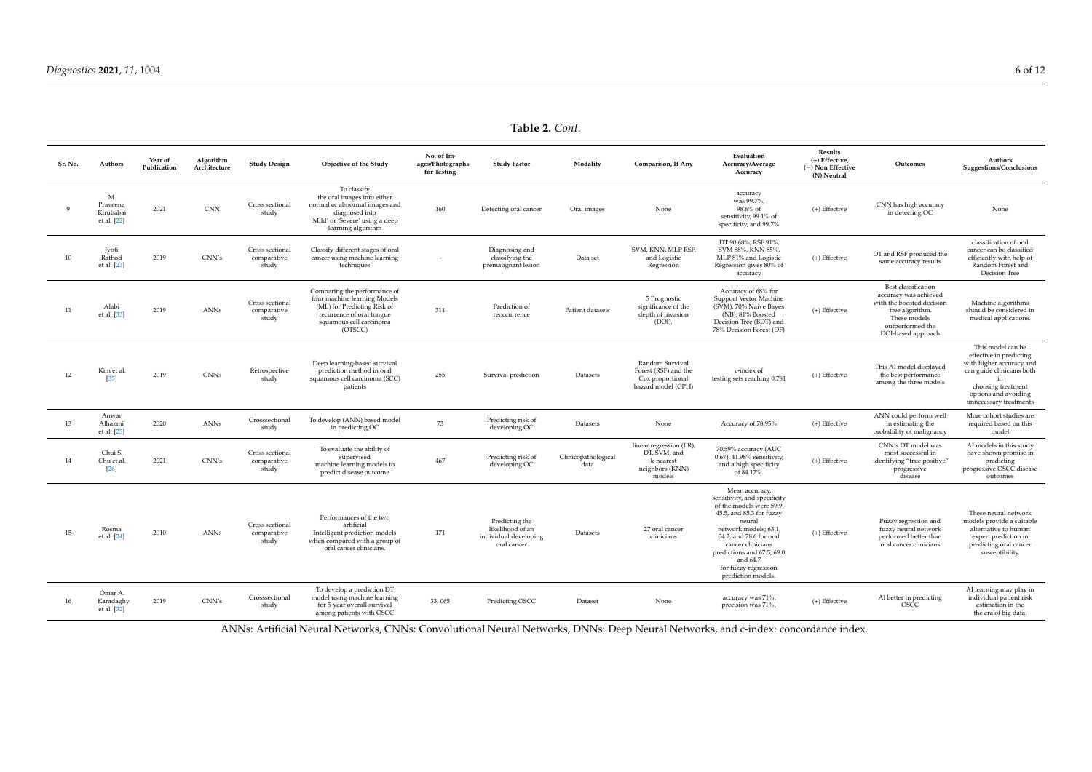**Table 2.** *Cont.*

| Sr. No.      | Authors                                    | Year of<br>Publication | Algorithm<br>Architecture   | <b>Study Design</b>                     | Objective of the Study                                                                                                                                         | No. of Im-<br>ages/Photographs<br>for Testing | <b>Study Factor</b>                                                        | Modality                    | Comparison, If Any                                                                | Evaluation<br>Accuracy/Average<br>Accuracy                                                                                                                                                                                                                                        | Results<br>(+) Effective,<br>$(-)$ Non Effective<br>(N) Neutral | Outcomes                                                                                                                                              | Authors<br>Suggestions/Conclusions                                                                                                                                            |
|--------------|--------------------------------------------|------------------------|-----------------------------|-----------------------------------------|----------------------------------------------------------------------------------------------------------------------------------------------------------------|-----------------------------------------------|----------------------------------------------------------------------------|-----------------------------|-----------------------------------------------------------------------------------|-----------------------------------------------------------------------------------------------------------------------------------------------------------------------------------------------------------------------------------------------------------------------------------|-----------------------------------------------------------------|-------------------------------------------------------------------------------------------------------------------------------------------------------|-------------------------------------------------------------------------------------------------------------------------------------------------------------------------------|
| $\mathbf{q}$ | M.<br>Praveena<br>Kirubabai<br>et al. [22] | 2021                   | $\mathop{\rm CNN}\nolimits$ | Cross sectional<br>study                | To classify<br>the oral images into either<br>normal or abnormal images and<br>diagnosed into<br>'Mild' or 'Severe' using a deep<br>learning algorithm         | 160                                           | Detecting oral cancer                                                      | Oral images                 | None                                                                              | accuracy<br>was 99.7%.<br>98.6% of<br>sensitivity, 99.1% of<br>specificity, and 99.7%                                                                                                                                                                                             | (+) Effective                                                   | CNN has high accuracy<br>in detecting OC                                                                                                              | None                                                                                                                                                                          |
| 10           | Jyoti<br>Rathod<br>et al. [23]             | 2019                   | CNN's                       | Cross sectional<br>comparative<br>study | Classify different stages of oral<br>cancer using machine learning<br>techniques                                                                               |                                               | Diagnosing and<br>classifying the<br>premalignant lesion                   | Data set                    | SVM. KNN. MLP RSF.<br>and Logistic<br>Regression                                  | DT 90.68%, RSF 91%,<br>SVM 88%, KNN 85%,<br>MLP 81% and Logistic<br>Regression gives 80% of<br>accuracy                                                                                                                                                                           | (+) Effective                                                   | DT and RSF produced the<br>same accuracy results                                                                                                      | classification of oral<br>cancer can be classified<br>efficiently with help of<br>Random Forest and<br>Decision Tree                                                          |
| 11           | Alabi<br>et al. [33]                       | 2019                   | <b>ANNs</b>                 | Cross sectional<br>comparative<br>study | Comparing the performance of<br>four machine learning Models<br>(ML) for Predicting Risk of<br>recurrence of oral tongue<br>squamous cell carcinoma<br>(OTSCC) | 311                                           | Prediction of<br>reoccurrence                                              | Patient datasets            | 5 Prognostic<br>significance of the<br>depth of invasion<br>(DOI).                | Accuracy of 68% for<br>Support Vector Machine<br>(SVM), 70% Naive Bayes<br>(NB), 81% Boosted<br>Decision Tree (BDT) and<br>78% Decision Forest (DF)                                                                                                                               | (+) Effective                                                   | Best classification<br>accuracy was achieved<br>with the boosted decision<br>tree algorithm<br>These models<br>outperformed the<br>DOI-based approach | Machine algorithms<br>should be considered in<br>medical applications.                                                                                                        |
| 12           | Kim et al.<br>35                           | 2019                   | <b>CNNs</b>                 | Retrospective<br>study                  | Deep learning-based survival<br>prediction method in oral<br>squamous cell carcinoma (SCC)<br>patients                                                         | 255                                           | Survival prediction                                                        | Datasets                    | Random Survival<br>Forest (RSF) and the<br>Cox proportional<br>hazard model (CPH) | c-index of<br>testing sets reaching 0.781                                                                                                                                                                                                                                         | (+) Effective                                                   | This AI model displayed<br>the best performance<br>among the three models                                                                             | This model can be<br>effective in predicting<br>with higher accuracy and<br>can guide clinicians both<br>choosing treatment<br>options and avoiding<br>unnecessary treatments |
| 13           | Anwar<br>Alhazmi<br>et al. [25]            | 2020                   | ANNs                        | Crosssectional<br>study                 | To develop (ANN) based model<br>in predicting OC                                                                                                               | 73                                            | Predicting risk of<br>developing OC                                        | Datasets                    | None                                                                              | Accuracy of 78.95%                                                                                                                                                                                                                                                                | (+) Effective                                                   | ANN could perform well<br>in estimating the<br>probability of malignancy                                                                              | More cohort studies are<br>required based on this<br>model                                                                                                                    |
| 14           | Chui S.<br>Chu et al<br>$[26]$             | 2021                   | CNN's                       | Cross sectional<br>comparative<br>study | To evaluate the ability of<br>supervised<br>machine learning models to<br>predict disease outcome                                                              | 467                                           | Predicting risk of<br>developing OC                                        | Clinicopathological<br>data | linear regression (LR),<br>DT, SVM, and<br>k-nearest<br>neighbors (KNN)<br>models | 70.59% accuracy (AUC<br>0.67), 41.98% sensitivity,<br>and a high specificity<br>of 84.12%.                                                                                                                                                                                        | (+) Effective                                                   | CNN's DT model was<br>most successful in<br>identifying "true positive"<br>progressive<br>disease                                                     | AI models in this study<br>have shown promise in<br>predicting<br>progressive OSCC disease<br>outcomes                                                                        |
| 15           | Rosma<br>et al. [24]                       | 2010                   | <b>ANNs</b>                 | Cross sectional<br>comparative<br>study | Performances of the two<br>artificial<br>Intelligent prediction models<br>when compared with a group of<br>oral cancer clinicians.                             | 171                                           | Predicting the<br>likelihood of an<br>individual developing<br>oral cancer | Datasets                    | 27 oral cancer<br>clinicians                                                      | Mean accuracy,<br>sensitivity, and specificity<br>of the models were 59.9,<br>45.5, and 85.3 for fuzzy<br>neural<br>network models; 63.1,<br>54.2, and 78.6 for oral<br>cancer clinicians<br>predictions and 67.5, 69.0<br>and 64.7<br>for fuzzy regression<br>prediction models. | (+) Effective                                                   | Fuzzy regression and<br>fuzzy neural network<br>performed better than<br>oral cancer clinicians                                                       | These neural network<br>models provide a suitable<br>alternative to human<br>expert prediction in<br>predicting oral cancer<br>susceptibility.                                |
| 16           | Omar A.<br>Karadaghy<br>et al. [32]        | 2019                   | CNN's                       | Crosssectional<br>study                 | To develop a prediction DT<br>model using machine learning<br>for 5-year overall survival<br>among patients with OSCC                                          | 33,065                                        | Predicting OSCC                                                            | Dataset                     | None                                                                              | accuracy was 71%,<br>precision was 71%,                                                                                                                                                                                                                                           | (+) Effective                                                   | AI better in predicting<br><b>OSCC</b>                                                                                                                | AI learning may play in<br>individual patient risk<br>estimation in the<br>the era of big data.                                                                               |

<span id="page-5-0"></span>ANNs: Artificial Neural Networks, CNNs: Convolutional Neural Networks, DNNs: Deep Neural Networks, and c-index: concordance index.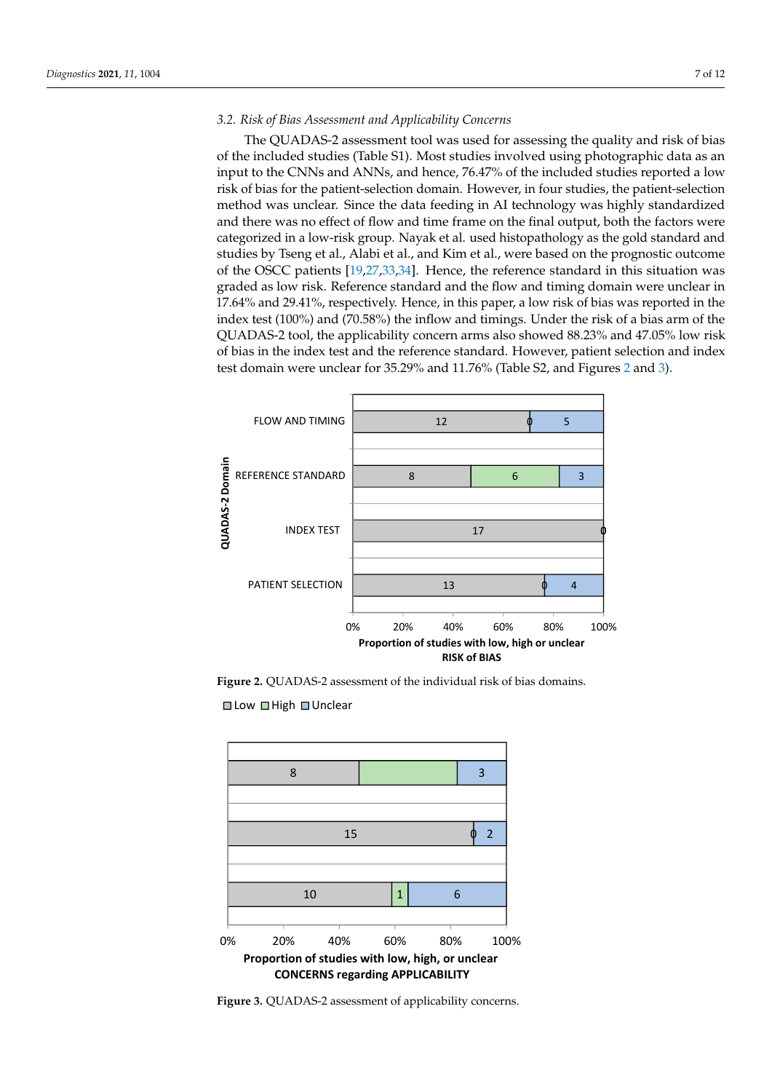## *3.2. Risk of Bias Assessment and Applicability Concerns 3.2. Risk of Bias Assessment and Applicability Concerns*

*Diagnostics* **2021**, *11*, x FOR PEER REVIEW 9 of 14

The QUADAS-2 assessment tool was used for assessing the quality and risk of bias of the included studies (Table S1). Most studies involved using photographic data as an The QUADAS-2 assessment tool was used for assessing the quality and risk of bias input to the CNNs and ANNs, and hence, 76.47% of the included studies reported a low input to the CNNs and ANNs, and hence, 76.47% of the included studies reported a low risk of bias for the patient-selection domain. However, in four studies, the patient-selection method was unclear. Since the data feeding in AI technology was highly standardized and there was no effect of flow and time frame on the final output, both the factors were and there was no effect of flow and time frame on the final output, both the factors were categorized in a low-risk group. Nayak et al. used histopathology as the gold standard and studies by Tseng et al., Alabi et al., and Kim et al., were based on the prognostic outcome of the OSCC patients [\[19](#page-10-5)[,27](#page-10-9)[,33](#page-10-13)[,34\]](#page-10-14). Hence, the reference standard in this situation was graded as low risk. Reference standard and the flow and timing domain were unclear in 17.64% and 29.41%, respectively. Hence, in this paper, a low risk of bias was reported in the in 17.64% and 29.41%, respectively. Hence, in this paper, a low risk of bias was reported index test (100%) and (70.58%) the inflow and timings. Under the risk of a bias arm of the nack test (100%) and (100%) are finitely and animage. Shace the risk of a state and of the distribution of the  $QUADAS-2$  tool, the applicability concern arms also showed 88.23% and 47.05% low risk of bias in the index test and the reference standard. However, patient selection and index test domain were unclear for 35.29% and 11.76% (Table S2, and Figures [2](#page-6-0) and [3\)](#page-6-1). 3). of the included studies (Table S1). Most studies involved using photographic data as an Low risk of the applicability concern all also showed 66.25% and 47.05

<span id="page-6-0"></span>

**Figure 2.** QUADAS-2 assessment of the individual risk of bias domains. **Figure 2.** QUADAS-2 assessment of the individual risk of bias domains.

<span id="page-6-1"></span> $\Box$  Low  $\Box$  High  $\Box$  Unclear



**Figure 3.** QUADAS-2 assessment of applicability concerns. **Figure 3.** QUADAS-2 assessment of applicability concerns.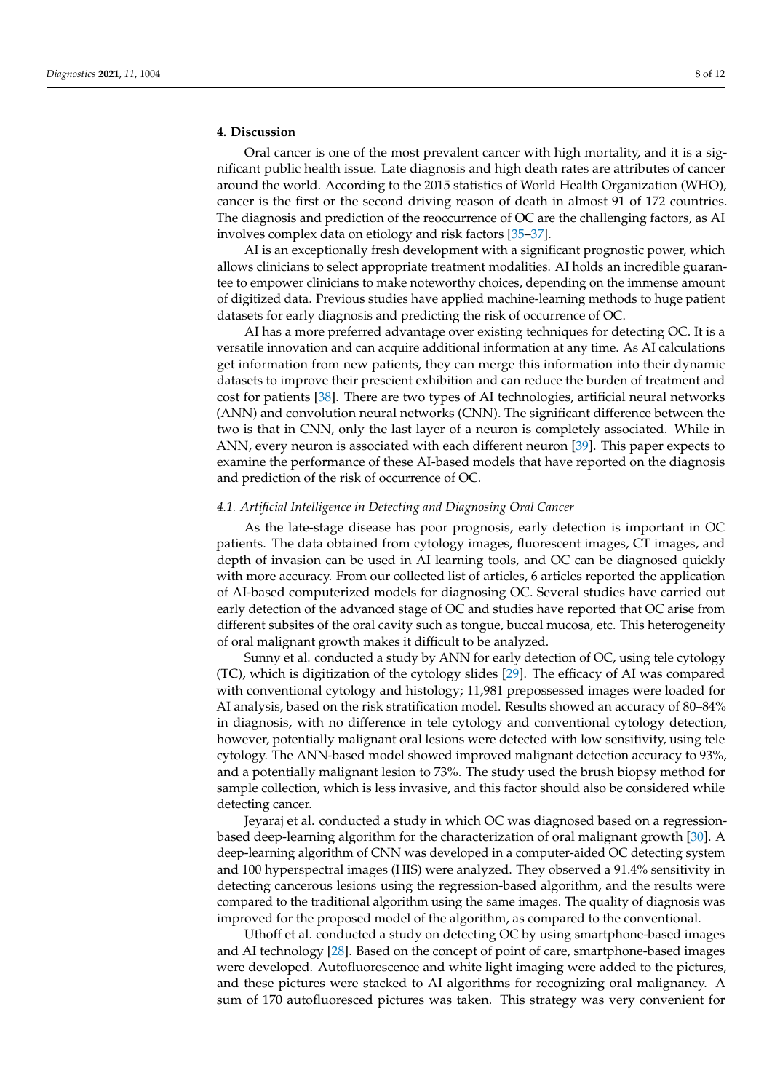## **4. Discussion**

Oral cancer is one of the most prevalent cancer with high mortality, and it is a significant public health issue. Late diagnosis and high death rates are attributes of cancer around the world. According to the 2015 statistics of World Health Organization (WHO), cancer is the first or the second driving reason of death in almost 91 of 172 countries. The diagnosis and prediction of the reoccurrence of OC are the challenging factors, as AI involves complex data on etiology and risk factors [\[35–](#page-10-31)[37\]](#page-11-0).

AI is an exceptionally fresh development with a significant prognostic power, which allows clinicians to select appropriate treatment modalities. AI holds an incredible guarantee to empower clinicians to make noteworthy choices, depending on the immense amount of digitized data. Previous studies have applied machine-learning methods to huge patient datasets for early diagnosis and predicting the risk of occurrence of OC.

AI has a more preferred advantage over existing techniques for detecting OC. It is a versatile innovation and can acquire additional information at any time. As AI calculations get information from new patients, they can merge this information into their dynamic datasets to improve their prescient exhibition and can reduce the burden of treatment and cost for patients [\[38\]](#page-11-1). There are two types of AI technologies, artificial neural networks (ANN) and convolution neural networks (CNN). The significant difference between the two is that in CNN, only the last layer of a neuron is completely associated. While in ANN, every neuron is associated with each different neuron [\[39\]](#page-11-2). This paper expects to examine the performance of these AI-based models that have reported on the diagnosis and prediction of the risk of occurrence of OC.

#### *4.1. Artificial Intelligence in Detecting and Diagnosing Oral Cancer*

As the late-stage disease has poor prognosis, early detection is important in OC patients. The data obtained from cytology images, fluorescent images, CT images, and depth of invasion can be used in AI learning tools, and OC can be diagnosed quickly with more accuracy. From our collected list of articles, 6 articles reported the application of AI-based computerized models for diagnosing OC. Several studies have carried out early detection of the advanced stage of OC and studies have reported that OC arise from different subsites of the oral cavity such as tongue, buccal mucosa, etc. This heterogeneity of oral malignant growth makes it difficult to be analyzed.

Sunny et al. conducted a study by ANN for early detection of OC, using tele cytology (TC), which is digitization of the cytology slides [\[29\]](#page-10-32). The efficacy of AI was compared with conventional cytology and histology; 11,981 prepossessed images were loaded for AI analysis, based on the risk stratification model. Results showed an accuracy of 80–84% in diagnosis, with no difference in tele cytology and conventional cytology detection, however, potentially malignant oral lesions were detected with low sensitivity, using tele cytology. The ANN-based model showed improved malignant detection accuracy to 93%, and a potentially malignant lesion to 73%. The study used the brush biopsy method for sample collection, which is less invasive, and this factor should also be considered while detecting cancer.

Jeyaraj et al. conducted a study in which OC was diagnosed based on a regressionbased deep-learning algorithm for the characterization of oral malignant growth [\[30\]](#page-10-10). A deep-learning algorithm of CNN was developed in a computer-aided OC detecting system and 100 hyperspectral images (HIS) were analyzed. They observed a 91.4% sensitivity in detecting cancerous lesions using the regression-based algorithm, and the results were compared to the traditional algorithm using the same images. The quality of diagnosis was improved for the proposed model of the algorithm, as compared to the conventional.

Uthoff et al. conducted a study on detecting OC by using smartphone-based images and AI technology [\[28\]](#page-10-33). Based on the concept of point of care, smartphone-based images were developed. Autofluorescence and white light imaging were added to the pictures, and these pictures were stacked to AI algorithms for recognizing oral malignancy. A sum of 170 autofluoresced pictures was taken. This strategy was very convenient for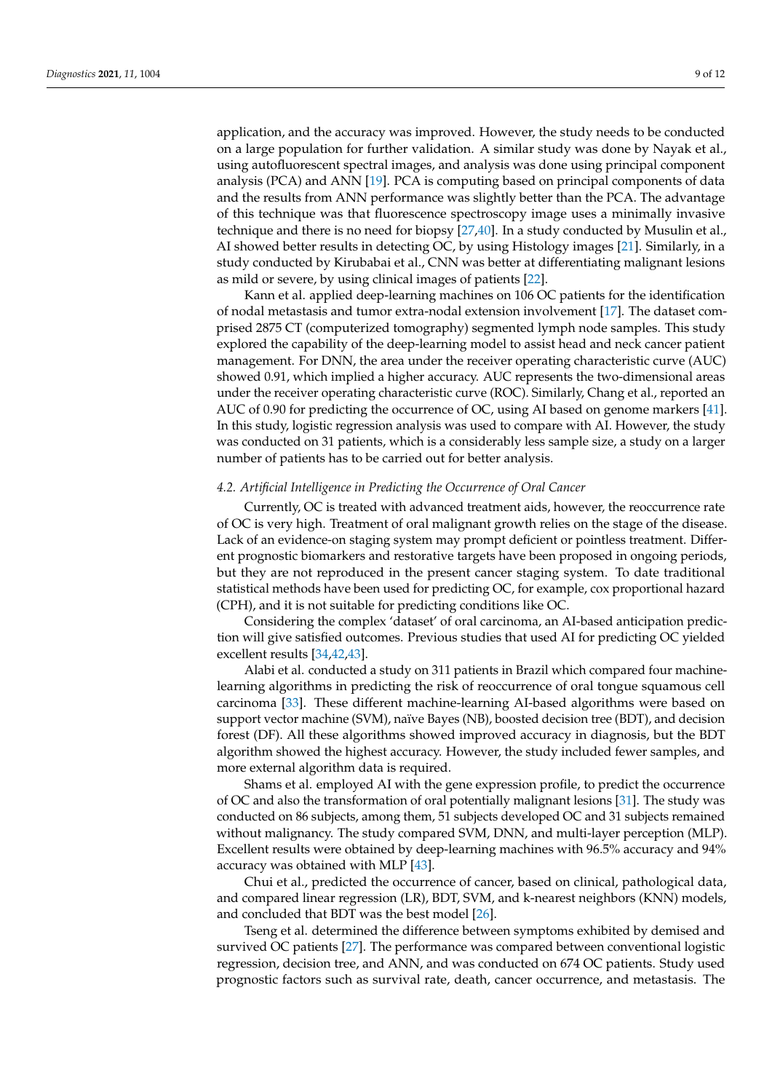application, and the accuracy was improved. However, the study needs to be conducted on a large population for further validation. A similar study was done by Nayak et al., using autofluorescent spectral images, and analysis was done using principal component analysis (PCA) and ANN [\[19\]](#page-10-5). PCA is computing based on principal components of data and the results from ANN performance was slightly better than the PCA. The advantage of this technique was that fluorescence spectroscopy image uses a minimally invasive technique and there is no need for biopsy [\[27,](#page-10-9)[40\]](#page-11-3). In a study conducted by Musulin et al., AI showed better results in detecting OC, by using Histology images [\[21\]](#page-10-34). Similarly, in a study conducted by Kirubabai et al., CNN was better at differentiating malignant lesions as mild or severe, by using clinical images of patients [\[22\]](#page-10-35).

Kann et al. applied deep-learning machines on 106 OC patients for the identification of nodal metastasis and tumor extra-nodal extension involvement [\[17\]](#page-10-3). The dataset comprised 2875 CT (computerized tomography) segmented lymph node samples. This study explored the capability of the deep-learning model to assist head and neck cancer patient management. For DNN, the area under the receiver operating characteristic curve (AUC) showed 0.91, which implied a higher accuracy. AUC represents the two-dimensional areas under the receiver operating characteristic curve (ROC). Similarly, Chang et al., reported an AUC of 0.90 for predicting the occurrence of OC, using AI based on genome markers [\[41\]](#page-11-4). In this study, logistic regression analysis was used to compare with AI. However, the study was conducted on 31 patients, which is a considerably less sample size, a study on a larger number of patients has to be carried out for better analysis.

## *4.2. Artificial Intelligence in Predicting the Occurrence of Oral Cancer*

Currently, OC is treated with advanced treatment aids, however, the reoccurrence rate of OC is very high. Treatment of oral malignant growth relies on the stage of the disease. Lack of an evidence-on staging system may prompt deficient or pointless treatment. Different prognostic biomarkers and restorative targets have been proposed in ongoing periods, but they are not reproduced in the present cancer staging system. To date traditional statistical methods have been used for predicting OC, for example, cox proportional hazard (CPH), and it is not suitable for predicting conditions like OC.

Considering the complex 'dataset' of oral carcinoma, an AI-based anticipation prediction will give satisfied outcomes. Previous studies that used AI for predicting OC yielded excellent results [\[34](#page-10-14)[,42](#page-11-5)[,43\]](#page-11-6).

Alabi et al. conducted a study on 311 patients in Brazil which compared four machinelearning algorithms in predicting the risk of reoccurrence of oral tongue squamous cell carcinoma [\[33\]](#page-10-13). These different machine-learning AI-based algorithms were based on support vector machine (SVM), naïve Bayes (NB), boosted decision tree (BDT), and decision forest (DF). All these algorithms showed improved accuracy in diagnosis, but the BDT algorithm showed the highest accuracy. However, the study included fewer samples, and more external algorithm data is required.

Shams et al. employed AI with the gene expression profile, to predict the occurrence of OC and also the transformation of oral potentially malignant lesions [\[31\]](#page-10-11). The study was conducted on 86 subjects, among them, 51 subjects developed OC and 31 subjects remained without malignancy. The study compared SVM, DNN, and multi-layer perception (MLP). Excellent results were obtained by deep-learning machines with 96.5% accuracy and 94% accuracy was obtained with MLP [\[43\]](#page-11-6).

Chui et al., predicted the occurrence of cancer, based on clinical, pathological data, and compared linear regression (LR), BDT, SVM, and k-nearest neighbors (KNN) models, and concluded that BDT was the best model [\[26\]](#page-10-8).

Tseng et al. determined the difference between symptoms exhibited by demised and survived OC patients [\[27\]](#page-10-9). The performance was compared between conventional logistic regression, decision tree, and ANN, and was conducted on 674 OC patients. Study used prognostic factors such as survival rate, death, cancer occurrence, and metastasis. The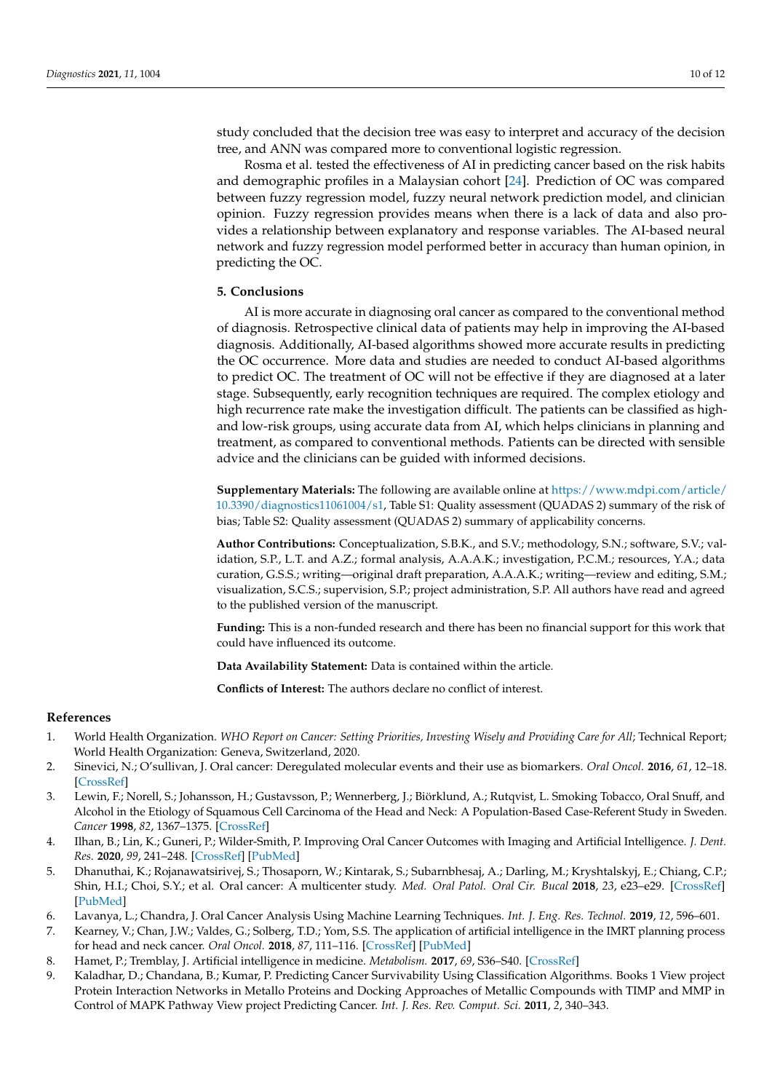study concluded that the decision tree was easy to interpret and accuracy of the decision tree, and ANN was compared more to conventional logistic regression.

Rosma et al. tested the effectiveness of AI in predicting cancer based on the risk habits and demographic profiles in a Malaysian cohort [\[24\]](#page-10-7). Prediction of OC was compared between fuzzy regression model, fuzzy neural network prediction model, and clinician opinion. Fuzzy regression provides means when there is a lack of data and also provides a relationship between explanatory and response variables. The AI-based neural network and fuzzy regression model performed better in accuracy than human opinion, in predicting the OC.

## **5. Conclusions**

AI is more accurate in diagnosing oral cancer as compared to the conventional method of diagnosis. Retrospective clinical data of patients may help in improving the AI-based diagnosis. Additionally, AI-based algorithms showed more accurate results in predicting the OC occurrence. More data and studies are needed to conduct AI-based algorithms to predict OC. The treatment of OC will not be effective if they are diagnosed at a later stage. Subsequently, early recognition techniques are required. The complex etiology and high recurrence rate make the investigation difficult. The patients can be classified as highand low-risk groups, using accurate data from AI, which helps clinicians in planning and treatment, as compared to conventional methods. Patients can be directed with sensible advice and the clinicians can be guided with informed decisions.

**Supplementary Materials:** The following are available online at [https://www.mdpi.com/article/](https://www.mdpi.com/article/10.3390/diagnostics11061004/s1) [10.3390/diagnostics11061004/s1,](https://www.mdpi.com/article/10.3390/diagnostics11061004/s1) Table S1: Quality assessment (QUADAS 2) summary of the risk of bias; Table S2: Quality assessment (QUADAS 2) summary of applicability concerns.

**Author Contributions:** Conceptualization, S.B.K., and S.V.; methodology, S.N.; software, S.V.; validation, S.P., L.T. and A.Z.; formal analysis, A.A.A.K.; investigation, P.C.M.; resources, Y.A.; data curation, G.S.S.; writing—original draft preparation, A.A.A.K.; writing—review and editing, S.M.; visualization, S.C.S.; supervision, S.P.; project administration, S.P. All authors have read and agreed to the published version of the manuscript.

**Funding:** This is a non-funded research and there has been no financial support for this work that could have influenced its outcome.

**Data Availability Statement:** Data is contained within the article.

**Conflicts of Interest:** The authors declare no conflict of interest.

## **References**

- <span id="page-9-0"></span>1. World Health Organization. *WHO Report on Cancer: Setting Priorities, Investing Wisely and Providing Care for All*; Technical Report; World Health Organization: Geneva, Switzerland, 2020.
- <span id="page-9-1"></span>2. Sinevici, N.; O'sullivan, J. Oral cancer: Deregulated molecular events and their use as biomarkers. *Oral Oncol.* **2016**, *61*, 12–18. [\[CrossRef\]](http://doi.org/10.1016/j.oraloncology.2016.07.013)
- <span id="page-9-2"></span>3. Lewin, F.; Norell, S.; Johansson, H.; Gustavsson, P.; Wennerberg, J.; Biörklund, A.; Rutqvist, L. Smoking Tobacco, Oral Snuff, and Alcohol in the Etiology of Squamous Cell Carcinoma of the Head and Neck: A Population-Based Case-Referent Study in Sweden. *Cancer* **1998**, *82*, 1367–1375. [\[CrossRef\]](http://doi.org/10.1002/(SICI)1097-0142(19980401)82:7<1367::AID-CNCR21>3.0.CO;2-3)
- <span id="page-9-3"></span>4. Ilhan, B.; Lin, K.; Guneri, P.; Wilder-Smith, P. Improving Oral Cancer Outcomes with Imaging and Artificial Intelligence. *J. Dent. Res.* **2020**, *99*, 241–248. [\[CrossRef\]](http://doi.org/10.1177/0022034520902128) [\[PubMed\]](http://www.ncbi.nlm.nih.gov/pubmed/32077795)
- <span id="page-9-4"></span>5. Dhanuthai, K.; Rojanawatsirivej, S.; Thosaporn, W.; Kintarak, S.; Subarnbhesaj, A.; Darling, M.; Kryshtalskyj, E.; Chiang, C.P.; Shin, H.I.; Choi, S.Y.; et al. Oral cancer: A multicenter study. *Med. Oral Patol. Oral Cir. Bucal* **2018**, *23*, e23–e29. [\[CrossRef\]](http://doi.org/10.4317/medoral.21999) [\[PubMed\]](http://www.ncbi.nlm.nih.gov/pubmed/29274153)
- <span id="page-9-5"></span>6. Lavanya, L.; Chandra, J. Oral Cancer Analysis Using Machine Learning Techniques. *Int. J. Eng. Res. Technol.* **2019**, *12*, 596–601.
- <span id="page-9-6"></span>7. Kearney, V.; Chan, J.W.; Valdes, G.; Solberg, T.D.; Yom, S.S. The application of artificial intelligence in the IMRT planning process for head and neck cancer. *Oral Oncol.* **2018**, *87*, 111–116. [\[CrossRef\]](http://doi.org/10.1016/j.oraloncology.2018.10.026) [\[PubMed\]](http://www.ncbi.nlm.nih.gov/pubmed/30527225)
- <span id="page-9-7"></span>8. Hamet, P.; Tremblay, J. Artificial intelligence in medicine. *Metabolism.* **2017**, *69*, S36–S40. [\[CrossRef\]](http://doi.org/10.1016/j.metabol.2017.01.011)
- <span id="page-9-8"></span>9. Kaladhar, D.; Chandana, B.; Kumar, P. Predicting Cancer Survivability Using Classification Algorithms. Books 1 View project Protein Interaction Networks in Metallo Proteins and Docking Approaches of Metallic Compounds with TIMP and MMP in Control of MAPK Pathway View project Predicting Cancer. *Int. J. Res. Rev. Comput. Sci.* **2011**, *2*, 340–343.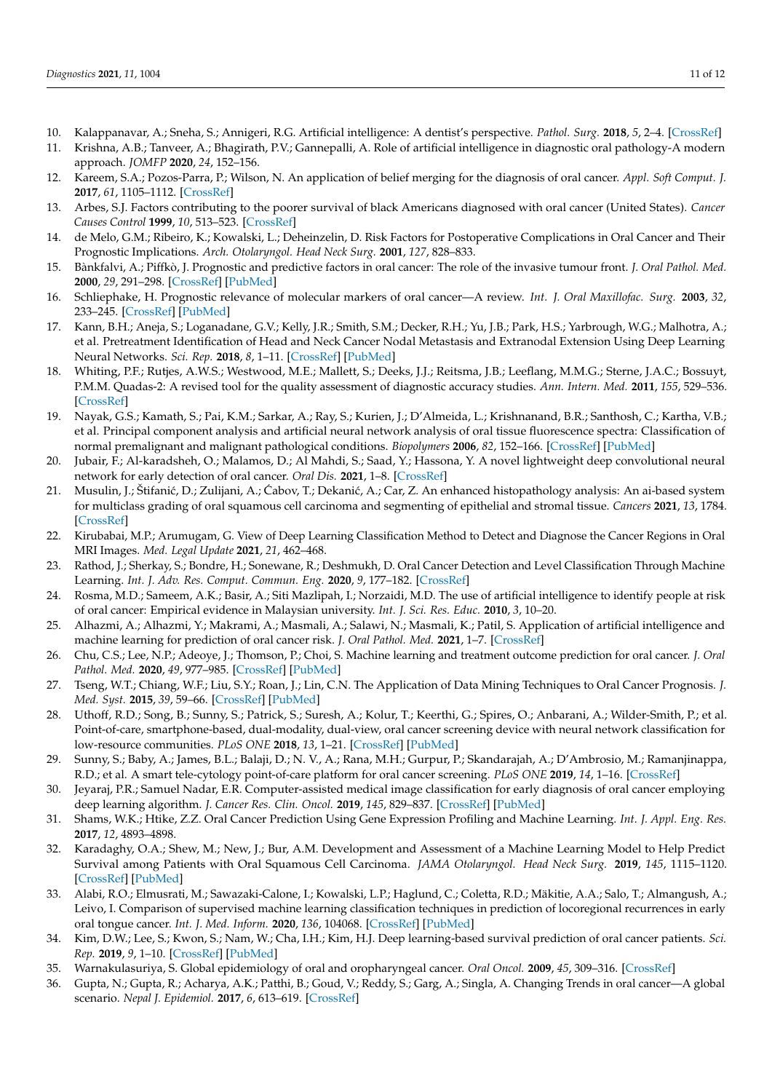- <span id="page-10-20"></span><span id="page-10-15"></span>10. Kalappanavar, A.; Sneha, S.; Annigeri, R.G. Artificial intelligence: A dentist's perspective. *Pathol. Surg.* **2018**, *5*, 2–4. [\[CrossRef\]](http://doi.org/10.15713/ins.jmrps.123)
- <span id="page-10-0"></span>11. Krishna, A.B.; Tanveer, A.; Bhagirath, P.V.; Gannepalli, A. Role of artificial intelligence in diagnostic oral pathology-A modern approach. *JOMFP* **2020**, *24*, 152–156.
- <span id="page-10-22"></span><span id="page-10-1"></span>12. Kareem, S.A.; Pozos-Parra, P.; Wilson, N. An application of belief merging for the diagnosis of oral cancer. *Appl. Soft Comput. J.* **2017**, *61*, 1105–1112. [\[CrossRef\]](http://doi.org/10.1016/j.asoc.2017.01.055)
- <span id="page-10-23"></span>13. Arbes, S.J. Factors contributing to the poorer survival of black Americans diagnosed with oral cancer (United States). *Cancer Causes Control* **1999**, *10*, 513–523. [\[CrossRef\]](http://doi.org/10.1023/A:1008911300100)
- <span id="page-10-24"></span>14. de Melo, G.M.; Ribeiro, K.; Kowalski, L.; Deheinzelin, D. Risk Factors for Postoperative Complications in Oral Cancer and Their Prognostic Implications. *Arch. Otolaryngol. Head Neck Surg.* **2001**, *127*, 828–833.
- <span id="page-10-29"></span>15. Bànkfalvi, A.; Piffkò, J. Prognostic and predictive factors in oral cancer: The role of the invasive tumour front. *J. Oral Pathol. Med.* **2000**, *29*, 291–298. [\[CrossRef\]](http://doi.org/10.1034/j.1600-0714.2000.290701.x) [\[PubMed\]](http://www.ncbi.nlm.nih.gov/pubmed/10947243)
- <span id="page-10-27"></span><span id="page-10-2"></span>16. Schliephake, H. Prognostic relevance of molecular markers of oral cancer—A review. *Int. J. Oral Maxillofac. Surg.* **2003**, *32*, 233–245. [\[CrossRef\]](http://doi.org/10.1054/ijom.2002.0383) [\[PubMed\]](http://www.ncbi.nlm.nih.gov/pubmed/12767868)
- <span id="page-10-28"></span><span id="page-10-3"></span>17. Kann, B.H.; Aneja, S.; Loganadane, G.V.; Kelly, J.R.; Smith, S.M.; Decker, R.H.; Yu, J.B.; Park, H.S.; Yarbrough, W.G.; Malhotra, A.; et al. Pretreatment Identification of Head and Neck Cancer Nodal Metastasis and Extranodal Extension Using Deep Learning Neural Networks. *Sci. Rep.* **2018**, *8*, 1–11. [\[CrossRef\]](http://doi.org/10.1038/s41598-018-32441-y) [\[PubMed\]](http://www.ncbi.nlm.nih.gov/pubmed/30232350)
- <span id="page-10-17"></span><span id="page-10-16"></span><span id="page-10-4"></span>18. Whiting, P.F.; Rutjes, A.W.S.; Westwood, M.E.; Mallett, S.; Deeks, J.J.; Reitsma, J.B.; Leeflang, M.M.G.; Sterne, J.A.C.; Bossuyt, P.M.M. Quadas-2: A revised tool for the quality assessment of diagnostic accuracy studies. *Ann. Intern. Med.* **2011**, *155*, 529–536. [\[CrossRef\]](http://doi.org/10.7326/0003-4819-155-8-201110180-00009)
- <span id="page-10-21"></span><span id="page-10-5"></span>19. Nayak, G.S.; Kamath, S.; Pai, K.M.; Sarkar, A.; Ray, S.; Kurien, J.; D'Almeida, L.; Krishnanand, B.R.; Santhosh, C.; Kartha, V.B.; et al. Principal component analysis and artificial neural network analysis of oral tissue fluorescence spectra: Classification of normal premalignant and malignant pathological conditions. *Biopolymers* **2006**, *82*, 152–166. [\[CrossRef\]](http://doi.org/10.1002/bip.20473) [\[PubMed\]](http://www.ncbi.nlm.nih.gov/pubmed/16470821)
- <span id="page-10-19"></span>20. Jubair, F.; Al-karadsheh, O.; Malamos, D.; Al Mahdi, S.; Saad, Y.; Hassona, Y. A novel lightweight deep convolutional neural network for early detection of oral cancer. *Oral Dis.* **2021**, 1–8. [\[CrossRef\]](http://doi.org/10.1111/odi.13825)
- <span id="page-10-34"></span><span id="page-10-18"></span>21. Musulin, J.; Štifanić, D.; Zulijani, A.; Ćabov, T.; Dekanić, A.; Car, Z. An enhanced histopathology analysis: An ai-based system for multiclass grading of oral squamous cell carcinoma and segmenting of epithelial and stromal tissue. *Cancers* **2021**, *13*, 1784. [\[CrossRef\]](http://doi.org/10.3390/cancers13081784)
- <span id="page-10-35"></span><span id="page-10-30"></span>22. Kirubabai, M.P.; Arumugam, G. View of Deep Learning Classification Method to Detect and Diagnose the Cancer Regions in Oral MRI Images. *Med. Legal Update* **2021**, *21*, 462–468.
- <span id="page-10-25"></span><span id="page-10-6"></span>23. Rathod, J.; Sherkay, S.; Bondre, H.; Sonewane, R.; Deshmukh, D. Oral Cancer Detection and Level Classification Through Machine Learning. *Int. J. Adv. Res. Comput. Commun. Eng.* **2020**, *9*, 177–182. [\[CrossRef\]](http://doi.org/10.17148/IJARCCE.2020.9335)
- <span id="page-10-7"></span>24. Rosma, M.D.; Sameem, A.K.; Basir, A.; Siti Mazlipah, I.; Norzaidi, M.D. The use of artificial intelligence to identify people at risk of oral cancer: Empirical evidence in Malaysian university. *Int. J. Sci. Res. Educ.* **2010**, *3*, 10–20.
- 25. Alhazmi, A.; Alhazmi, Y.; Makrami, A.; Masmali, A.; Salawi, N.; Masmali, K.; Patil, S. Application of artificial intelligence and machine learning for prediction of oral cancer risk. *J. Oral Pathol. Med.* **2021**, 1–7. [\[CrossRef\]](http://doi.org/10.1111/jop.13157)
- <span id="page-10-26"></span><span id="page-10-8"></span>26. Chu, C.S.; Lee, N.P.; Adeoye, J.; Thomson, P.; Choi, S. Machine learning and treatment outcome prediction for oral cancer. *J. Oral Pathol. Med.* **2020**, *49*, 977–985. [\[CrossRef\]](http://doi.org/10.1111/jop.13089) [\[PubMed\]](http://www.ncbi.nlm.nih.gov/pubmed/32740951)
- <span id="page-10-9"></span>27. Tseng, W.T.; Chiang, W.F.; Liu, S.Y.; Roan, J.; Lin, C.N. The Application of Data Mining Techniques to Oral Cancer Prognosis. *J. Med. Syst.* **2015**, *39*, 59–66. [\[CrossRef\]](http://doi.org/10.1007/s10916-015-0241-3) [\[PubMed\]](http://www.ncbi.nlm.nih.gov/pubmed/25796587)
- <span id="page-10-33"></span>28. Uthoff, R.D.; Song, B.; Sunny, S.; Patrick, S.; Suresh, A.; Kolur, T.; Keerthi, G.; Spires, O.; Anbarani, A.; Wilder-Smith, P.; et al. Point-of-care, smartphone-based, dual-modality, dual-view, oral cancer screening device with neural network classification for low-resource communities. *PLoS ONE* **2018**, *13*, 1–21. [\[CrossRef\]](http://doi.org/10.1371/journal.pone.0207493) [\[PubMed\]](http://www.ncbi.nlm.nih.gov/pubmed/30517120)
- <span id="page-10-32"></span>29. Sunny, S.; Baby, A.; James, B.L.; Balaji, D.; N. V., A.; Rana, M.H.; Gurpur, P.; Skandarajah, A.; D'Ambrosio, M.; Ramanjinappa, R.D.; et al. A smart tele-cytology point-of-care platform for oral cancer screening. *PLoS ONE* **2019**, *14*, 1–16. [\[CrossRef\]](http://doi.org/10.1371/journal.pone.0224885)
- <span id="page-10-10"></span>30. Jeyaraj, P.R.; Samuel Nadar, E.R. Computer-assisted medical image classification for early diagnosis of oral cancer employing deep learning algorithm. *J. Cancer Res. Clin. Oncol.* **2019**, *145*, 829–837. [\[CrossRef\]](http://doi.org/10.1007/s00432-018-02834-7) [\[PubMed\]](http://www.ncbi.nlm.nih.gov/pubmed/30603908)
- <span id="page-10-11"></span>31. Shams, W.K.; Htike, Z.Z. Oral Cancer Prediction Using Gene Expression Profiling and Machine Learning. *Int. J. Appl. Eng. Res.* **2017**, *12*, 4893–4898.
- <span id="page-10-12"></span>32. Karadaghy, O.A.; Shew, M.; New, J.; Bur, A.M. Development and Assessment of a Machine Learning Model to Help Predict Survival among Patients with Oral Squamous Cell Carcinoma. *JAMA Otolaryngol. Head Neck Surg.* **2019**, *145*, 1115–1120. [\[CrossRef\]](http://doi.org/10.1001/jamaoto.2019.0981) [\[PubMed\]](http://www.ncbi.nlm.nih.gov/pubmed/31045212)
- <span id="page-10-13"></span>33. Alabi, R.O.; Elmusrati, M.; Sawazaki-Calone, I.; Kowalski, L.P.; Haglund, C.; Coletta, R.D.; Mäkitie, A.A.; Salo, T.; Almangush, A.; Leivo, I. Comparison of supervised machine learning classification techniques in prediction of locoregional recurrences in early oral tongue cancer. *Int. J. Med. Inform.* **2020**, *136*, 104068. [\[CrossRef\]](http://doi.org/10.1016/j.ijmedinf.2019.104068) [\[PubMed\]](http://www.ncbi.nlm.nih.gov/pubmed/31923822)
- <span id="page-10-14"></span>34. Kim, D.W.; Lee, S.; Kwon, S.; Nam, W.; Cha, I.H.; Kim, H.J. Deep learning-based survival prediction of oral cancer patients. *Sci. Rep.* **2019**, *9*, 1–10. [\[CrossRef\]](http://doi.org/10.1038/s41598-019-43372-7) [\[PubMed\]](http://www.ncbi.nlm.nih.gov/pubmed/31061433)
- <span id="page-10-31"></span>35. Warnakulasuriya, S. Global epidemiology of oral and oropharyngeal cancer. *Oral Oncol.* **2009**, *45*, 309–316. [\[CrossRef\]](http://doi.org/10.1016/j.oraloncology.2008.06.002)
- 36. Gupta, N.; Gupta, R.; Acharya, A.K.; Patthi, B.; Goud, V.; Reddy, S.; Garg, A.; Singla, A. Changing Trends in oral cancer—A global scenario. *Nepal J. Epidemiol.* **2017**, *6*, 613–619. [\[CrossRef\]](http://doi.org/10.3126/nje.v6i4.17255)